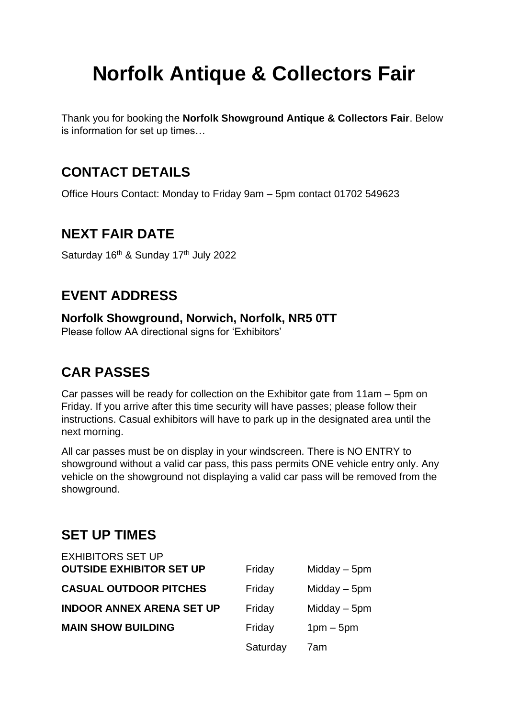# **Norfolk Antique & Collectors Fair**

Thank you for booking the **Norfolk Showground Antique & Collectors Fair**. Below is information for set up times…

#### **CONTACT DETAILS**

Office Hours Contact: Monday to Friday 9am – 5pm contact 01702 549623

#### **NEXT FAIR DATE**

Saturday 16<sup>th</sup> & Sunday 17<sup>th</sup> July 2022

## **EVENT ADDRESS**

**Norfolk Showground, Norwich, Norfolk, NR5 0TT** 

Please follow AA directional signs for 'Exhibitors'

### **CAR PASSES**

Car passes will be ready for collection on the Exhibitor gate from 11am – 5pm on Friday. If you arrive after this time security will have passes; please follow their instructions. Casual exhibitors will have to park up in the designated area until the next morning.

All car passes must be on display in your windscreen. There is NO ENTRY to showground without a valid car pass, this pass permits ONE vehicle entry only. Any vehicle on the showground not displaying a valid car pass will be removed from the showground.

#### **SET UP TIMES**

| <b>EXHIBITORS SET UP</b>         |          |                |
|----------------------------------|----------|----------------|
| <b>OUTSIDE EXHIBITOR SET UP</b>  | Friday   | Midday $-5$ pm |
| <b>CASUAL OUTDOOR PITCHES</b>    | Friday   | Midday $-5$ pm |
| <b>INDOOR ANNEX ARENA SET UP</b> | Friday   | Midday $-5$ pm |
| <b>MAIN SHOW BUILDING</b>        | Friday   | $1pm-5pm$      |
|                                  | Saturday | 7am            |